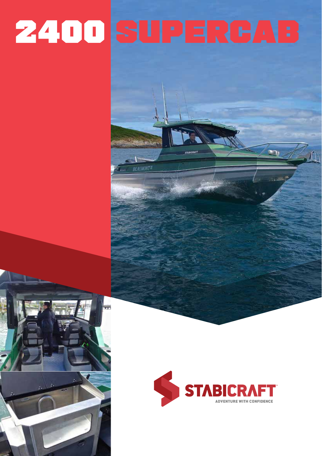# 2400 SUPERCAB

**REATMONT II**